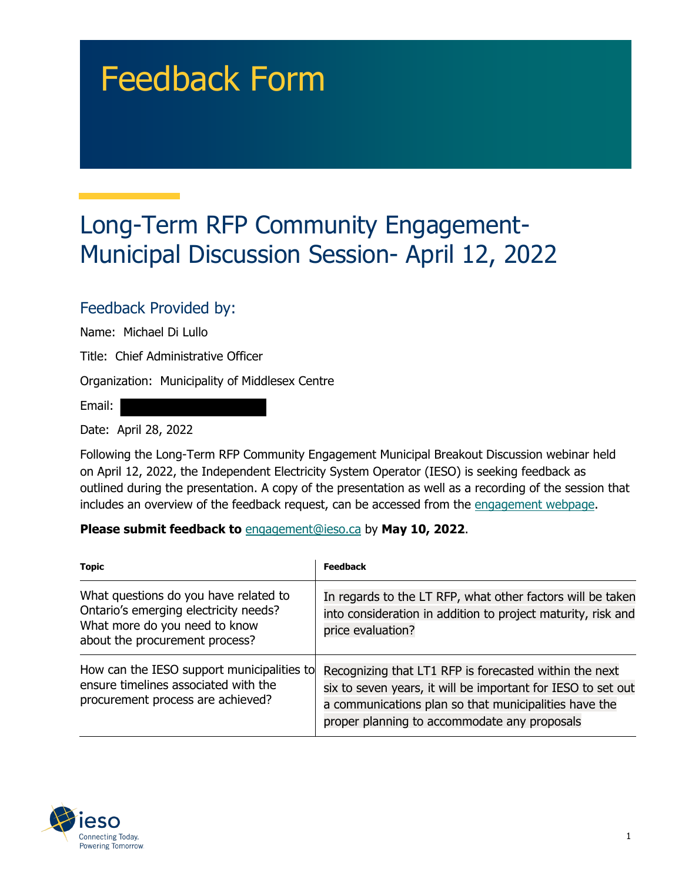# Feedback Form

## Long-Term RFP Community Engagement-Municipal Discussion Session- April 12, 2022

#### Feedback Provided by:

Name: Michael Di Lullo

Title: Chief Administrative Officer

Organization: Municipality of Middlesex Centre

Email:

Date: April 28, 2022

Following the Long-Term RFP Community Engagement Municipal Breakout Discussion webinar held on April 12, 2022, the Independent Electricity System Operator (IESO) is seeking feedback as outlined during the presentation. A copy of the presentation as well as a recording of the session that includes an overview of the feedback request, can be accessed from the [engagement webpage.](https://www.ieso.ca/en/Sector-Participants/Engagement-Initiatives/Engagements/Long-Term-RFP-Community-Engagement)

#### **Please submit feedback to** engagement@ieso.ca by **May 10, 2022**.

| <b>Topic</b>                                                                                                                                      | <b>Feedback</b>                                                                                                                                                                                                                 |
|---------------------------------------------------------------------------------------------------------------------------------------------------|---------------------------------------------------------------------------------------------------------------------------------------------------------------------------------------------------------------------------------|
| What questions do you have related to<br>Ontario's emerging electricity needs?<br>What more do you need to know<br>about the procurement process? | In regards to the LT RFP, what other factors will be taken<br>into consideration in addition to project maturity, risk and<br>price evaluation?                                                                                 |
| How can the IESO support municipalities to<br>ensure timelines associated with the<br>procurement process are achieved?                           | Recognizing that LT1 RFP is forecasted within the next<br>six to seven years, it will be important for IESO to set out<br>a communications plan so that municipalities have the<br>proper planning to accommodate any proposals |